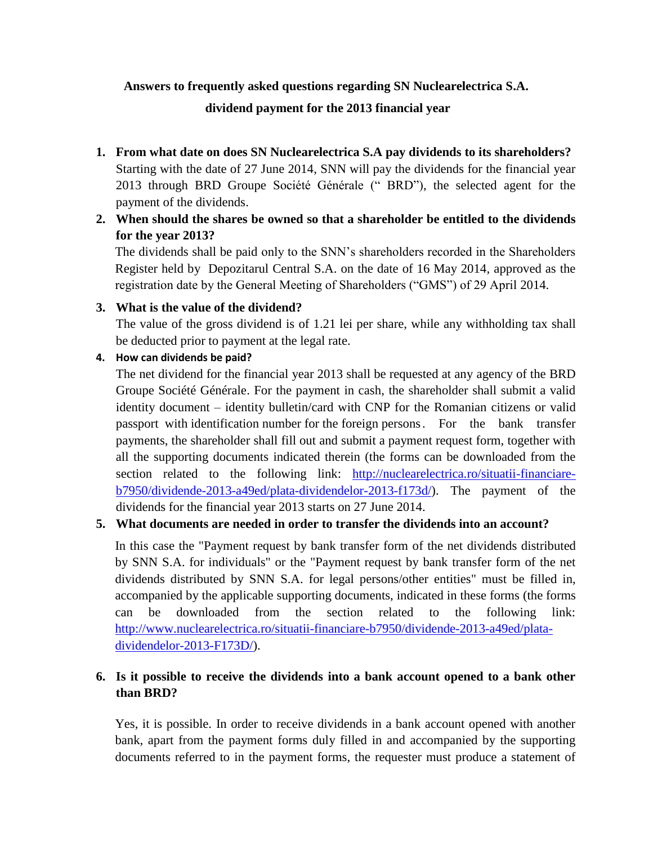# **Answers to frequently asked questions regarding SN Nuclearelectrica S.A.**

# **dividend payment for the 2013 financial year**

- **1. From what date on does SN Nuclearelectrica S.A pay dividends to its shareholders?** Starting with the date of 27 June 2014, SNN will pay the dividends for the financial year 2013 through BRD Groupe Société Générale (" BRD"), the selected agent for the payment of the dividends.
- **2. When should the shares be owned so that a shareholder be entitled to the dividends for the year 2013?**

The dividends shall be paid only to the SNN's shareholders recorded in the Shareholders Register held by Depozitarul Central S.A. on the date of 16 May 2014, approved as the registration date by the General Meeting of Shareholders ("GMS") of 29 April 2014.

# **3. What is the value of the dividend?**

The value of the gross dividend is of 1.21 lei per share, while any withholding tax shall be deducted prior to payment at the legal rate.

# **4. How can dividends be paid?**

The net dividend for the financial year 2013 shall be requested at any agency of the BRD Groupe Société Générale. For the payment in cash, the shareholder shall submit a valid identity document – identity bulletin/card with CNP for the Romanian citizens or valid passport with identification number for the foreign persons. For the bank transfer payments, the shareholder shall fill out and submit a payment request form, together with all the supporting documents indicated therein (the forms can be downloaded from the section related to the following link: [http://nuclearelectrica.ro/situatii-financiare](http://nuclearelectrica.ro/situatii-financiare-b7950/dividende-2013-a49ed/plata-dividendelor-2013-f173d/)[b7950/dividende-2013-a49ed/plata-dividendelor-2013-f173d/\)](http://nuclearelectrica.ro/situatii-financiare-b7950/dividende-2013-a49ed/plata-dividendelor-2013-f173d/). The payment of the dividends for the financial year 2013 starts on 27 June 2014.

# **5. What documents are needed in order to transfer the dividends into an account?**

In this case the "Payment request by bank transfer form of the net dividends distributed by SNN S.A. for individuals" or the "Payment request by bank transfer form of the net dividends distributed by SNN S.A. for legal persons/other entities" must be filled in, accompanied by the applicable supporting documents, indicated in these forms (the forms can be downloaded from the section related to the following link: [http://www.nuclearelectrica.ro/situatii-financiare-b7950/dividende-2013-a49ed/plata](http://www.nuclearelectrica.ro/situatii-financiare-b7950/dividende-2013-a49ed/plata-dividendelor-2013-F173D/)[dividendelor-2013-F173D/\)](http://www.nuclearelectrica.ro/situatii-financiare-b7950/dividende-2013-a49ed/plata-dividendelor-2013-F173D/).

# **6. Is it possible to receive the dividends into a bank account opened to a bank other than BRD?**

Yes, it is possible. In order to receive dividends in a bank account opened with another bank, apart from the payment forms duly filled in and accompanied by the supporting documents referred to in the payment forms, the requester must produce a statement of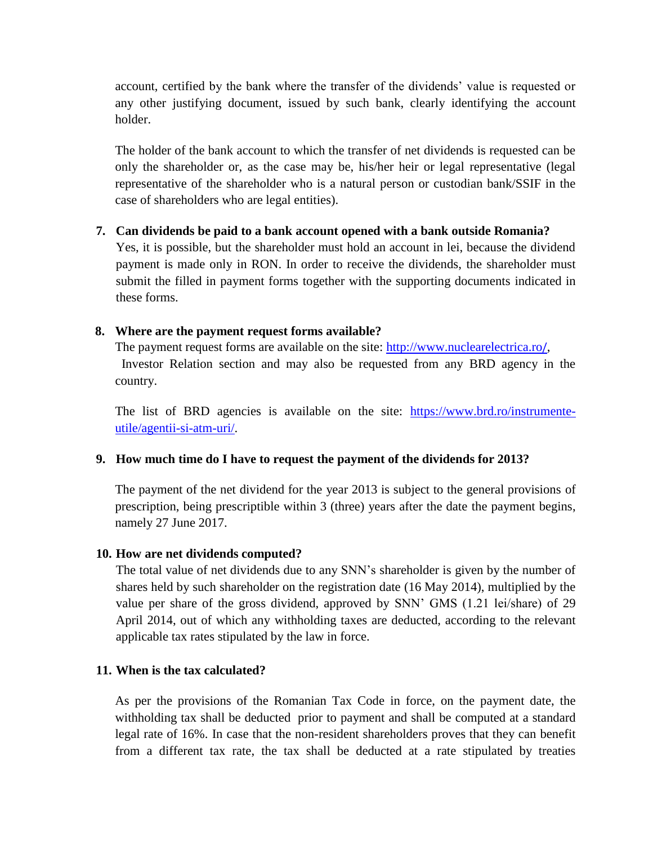account, certified by the bank where the transfer of the dividends' value is requested or any other justifying document, issued by such bank, clearly identifying the account holder.

The holder of the bank account to which the transfer of net dividends is requested can be only the shareholder or, as the case may be, his/her heir or legal representative (legal representative of the shareholder who is a natural person or custodian bank/SSIF in the case of shareholders who are legal entities).

## **7. Can dividends be paid to a bank account opened with a bank outside Romania?**

Yes, it is possible, but the shareholder must hold an account in lei, because the dividend payment is made only in RON. In order to receive the dividends, the shareholder must submit the filled in payment forms together with the supporting documents indicated in these forms.

## **8. Where are the payment request forms available?**

The payment request forms are available on the site: [http://www.nuclearelectrica.ro](http://www.nuclearelectrica.ro/)/, Investor Relation section and may also be requested from any BRD agency in the country.

The list of BRD agencies is available on the site: [https://www.brd.ro/instrumente](https://www.brd.ro/instrumente-utile/agentii-si-atm-uri/)[utile/agentii-si-atm-uri/.](https://www.brd.ro/instrumente-utile/agentii-si-atm-uri/)

## **9. How much time do I have to request the payment of the dividends for 2013?**

The payment of the net dividend for the year 2013 is subject to the general provisions of prescription, being prescriptible within 3 (three) years after the date the payment begins, namely 27 June 2017.

## **10. How are net dividends computed?**

The total value of net dividends due to any SNN's shareholder is given by the number of shares held by such shareholder on the registration date (16 May 2014), multiplied by the value per share of the gross dividend, approved by SNN' GMS (1.21 lei/share) of 29 April 2014, out of which any withholding taxes are deducted, according to the relevant applicable tax rates stipulated by the law in force.

## **11. When is the tax calculated?**

As per the provisions of the Romanian Tax Code in force, on the payment date, the withholding tax shall be deducted prior to payment and shall be computed at a standard legal rate of 16%. In case that the non-resident shareholders proves that they can benefit from a different tax rate, the tax shall be deducted at a rate stipulated by treaties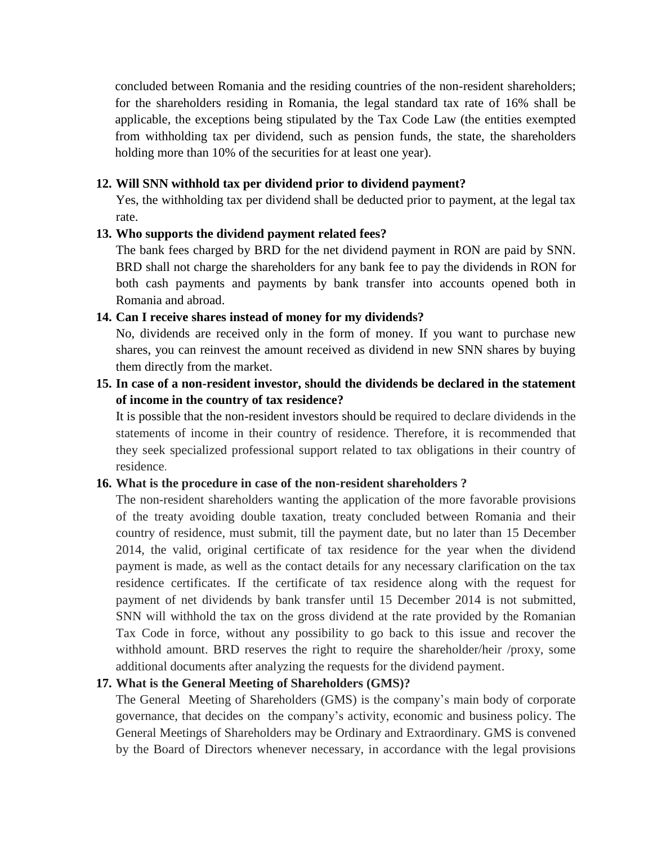concluded between Romania and the residing countries of the non-resident shareholders; for the shareholders residing in Romania, the legal standard tax rate of 16% shall be applicable, the exceptions being stipulated by the Tax Code Law (the entities exempted from withholding tax per dividend, such as pension funds, the state, the shareholders holding more than 10% of the securities for at least one year).

## **12. Will SNN withhold tax per dividend prior to dividend payment?**

Yes, the withholding tax per dividend shall be deducted prior to payment, at the legal tax rate.

#### **13. Who supports the dividend payment related fees?**

The bank fees charged by BRD for the net dividend payment in RON are paid by SNN. BRD shall not charge the shareholders for any bank fee to pay the dividends in RON for both cash payments and payments by bank transfer into accounts opened both in Romania and abroad.

#### **14. Can I receive shares instead of money for my dividends?**

No, dividends are received only in the form of money. If you want to purchase new shares, you can reinvest the amount received as dividend in new SNN shares by buying them directly from the market.

# **15. In case of a non-resident investor, should the dividends be declared in the statement of income in the country of tax residence?**

It is possible that the non-resident investors should be required to declare dividends in the statements of income in their country of residence. Therefore, it is recommended that they seek specialized professional support related to tax obligations in their country of residence.

## **16. What is the procedure in case of the non-resident shareholders ?**

The non-resident shareholders wanting the application of the more favorable provisions of the treaty avoiding double taxation, treaty concluded between Romania and their country of residence, must submit, till the payment date, but no later than 15 December 2014, the valid, original certificate of tax residence for the year when the dividend payment is made, as well as the contact details for any necessary clarification on the tax residence certificates. If the certificate of tax residence along with the request for payment of net dividends by bank transfer until 15 December 2014 is not submitted, SNN will withhold the tax on the gross dividend at the rate provided by the Romanian Tax Code in force, without any possibility to go back to this issue and recover the withhold amount. BRD reserves the right to require the shareholder/heir /proxy, some additional documents after analyzing the requests for the dividend payment.

## **17. What is the General Meeting of Shareholders (GMS)?**

The General Meeting of Shareholders (GMS) is the company's main body of corporate governance, that decides on the company's activity, economic and business policy. The General Meetings of Shareholders may be Ordinary and Extraordinary. GMS is convened by the Board of Directors whenever necessary, in accordance with the legal provisions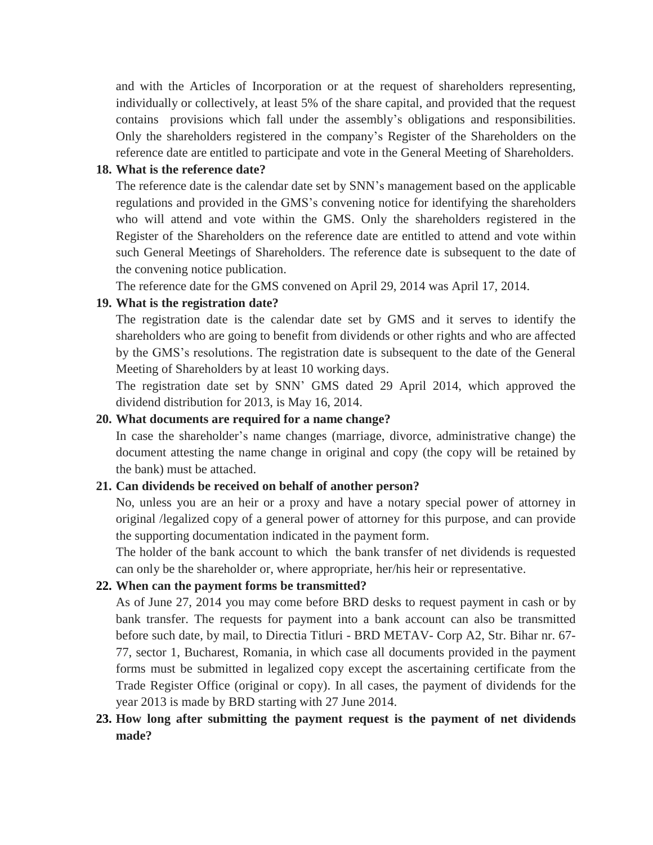and with the Articles of Incorporation or at the request of shareholders representing, individually or collectively, at least 5% of the share capital, and provided that the request contains provisions which fall under the assembly's obligations and responsibilities. Only the shareholders registered in the company's Register of the Shareholders on the reference date are entitled to participate and vote in the General Meeting of Shareholders.

## **18. What is the reference date?**

The reference date is the calendar date set by SNN's management based on the applicable regulations and provided in the GMS's convening notice for identifying the shareholders who will attend and vote within the GMS. Only the shareholders registered in the Register of the Shareholders on the reference date are entitled to attend and vote within such General Meetings of Shareholders. The reference date is subsequent to the date of the convening notice publication.

The reference date for the GMS convened on April 29, 2014 was April 17, 2014.

## **19. What is the registration date?**

The registration date is the calendar date set by GMS and it serves to identify the shareholders who are going to benefit from dividends or other rights and who are affected by the GMS's resolutions. The registration date is subsequent to the date of the General Meeting of Shareholders by at least 10 working days.

The registration date set by SNN' GMS dated 29 April 2014, which approved the dividend distribution for 2013, is May 16, 2014.

#### **20. What documents are required for a name change?**

In case the shareholder's name changes (marriage, divorce, administrative change) the document attesting the name change in original and copy (the copy will be retained by the bank) must be attached.

#### **21. Can dividends be received on behalf of another person?**

No, unless you are an heir or a proxy and have a notary special power of attorney in original /legalized copy of a general power of attorney for this purpose, and can provide the supporting documentation indicated in the payment form.

The holder of the bank account to which the bank transfer of net dividends is requested can only be the shareholder or, where appropriate, her/his heir or representative.

#### **22. When can the payment forms be transmitted?**

As of June 27, 2014 you may come before BRD desks to request payment in cash or by bank transfer. The requests for payment into a bank account can also be transmitted before such date, by mail, to Directia Titluri - BRD METAV- Corp A2, Str. Bihar nr. 67- 77, sector 1, Bucharest, Romania, in which case all documents provided in the payment forms must be submitted in legalized copy except the ascertaining certificate from the Trade Register Office (original or copy). In all cases, the payment of dividends for the year 2013 is made by BRD starting with 27 June 2014.

# **23. How long after submitting the payment request is the payment of net dividends made?**